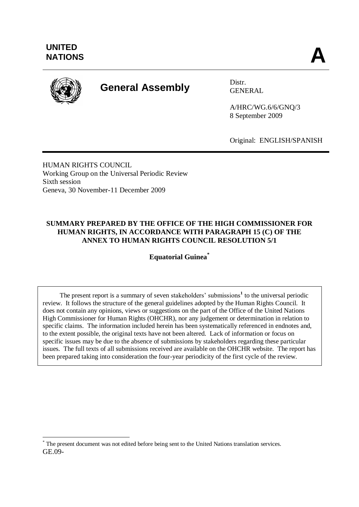

 $\overline{a}$ 

# **General Assembly** Distr.

GENERAL

A/HRC/WG.6/6/GNQ/3 8 September 2009

Original: ENGLISH/SPANISH

HUMAN RIGHTS COUNCIL Working Group on the Universal Periodic Review Sixth session Geneva, 30 November-11 December 2009

# **SUMMARY PREPARED BY THE OFFICE OF THE HIGH COMMISSIONER FOR HUMAN RIGHTS, IN ACCORDANCE WITH PARAGRAPH 15 (C) OF THE ANNEX TO HUMAN RIGHTS COUNCIL RESOLUTION 5/1**

**Equatorial Guinea\***

The present report is a summary of seven stakeholders' submissions<sup>1</sup> to the universal periodic review. It follows the structure of the general guidelines adopted by the Human Rights Council. It does not contain any opinions, views or suggestions on the part of the Office of the United Nations High Commissioner for Human Rights (OHCHR), nor any judgement or determination in relation to specific claims. The information included herein has been systematically referenced in endnotes and, to the extent possible, the original texts have not been altered. Lack of information or focus on specific issues may be due to the absence of submissions by stakeholders regarding these particular issues. The full texts of all submissions received are available on the OHCHR website. The report has been prepared taking into consideration the four-year periodicity of the first cycle of the review.

GE.09- \* The present document was not edited before being sent to the United Nations translation services.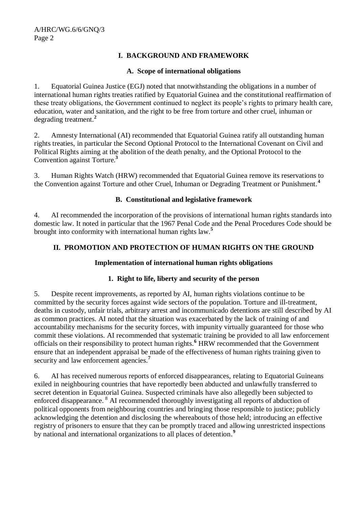# **I. BACKGROUND AND FRAMEWORK**

# **A. Scope of international obligations**

1. Equatorial Guinea Justice (EGJ) noted that nnotwithstanding the obligations in a number of international human rights treaties ratified by Equatorial Guinea and the constitutional reaffirmation of these treaty obligations, the Government continued to neglect its people's rights to primary health care, education, water and sanitation, and the right to be free from torture and other cruel, inhuman or degrading treatment.**<sup>2</sup>**

2. Amnesty International (AI) recommended that Equatorial Guinea ratify all outstanding human rights treaties, in particular the Second Optional Protocol to the International Covenant on Civil and Political Rights aiming at the abolition of the death penalty, and the Optional Protocol to the Convention against Torture.**<sup>3</sup>**

3. Human Rights Watch (HRW) recommended that Equatorial Guinea remove its reservations to the Convention against Torture and other Cruel, Inhuman or Degrading Treatment or Punishment.**<sup>4</sup>**

#### **B. Constitutional and legislative framework**

4. AI recommended the incorporation of the provisions of international human rights standards into domestic law. It noted in particular that the 1967 Penal Code and the Penal Procedures Code should be brought into conformity with international human rights law.**<sup>5</sup>**

# **II. PROMOTION AND PROTECTION OF HUMAN RIGHTS ON THE GROUND**

#### **Implementation of international human rights obligations**

# **1. Right to life, liberty and security of the person**

5. Despite recent improvements, as reported by AI, human rights violations continue to be committed by the security forces against wide sectors of the population. Torture and ill-treatment, deaths in custody, unfair trials, arbitrary arrest and incommunicado detentions are still described by AI as common practices. AI noted that the situation was exacerbated by the lack of training of and accountability mechanisms for the security forces, with impunity virtually guaranteed for those who commit these violations. AI recommended that systematic training be provided to all law enforcement officials on their responsibility to protect human rights.**<sup>6</sup>** HRW recommended that the Government ensure that an independent appraisal be made of the effectiveness of human rights training given to security and law enforcement agencies.**<sup>7</sup>**

6. AI has received numerous reports of enforced disappearances, relating to Equatorial Guineans exiled in neighbouring countries that have reportedly been abducted and unlawfully transferred to secret detention in Equatorial Guinea. Suspected criminals have also allegedly been subjected to enforced disappearance. <sup>8</sup> AI recommended thoroughly investigating all reports of abduction of political opponents from neighbouring countries and bringing those responsible to justice; publicly acknowledging the detention and disclosing the whereabouts of those held; introducing an effective registry of prisoners to ensure that they can be promptly traced and allowing unrestricted inspections by national and international organizations to all places of detention.<sup>9</sup>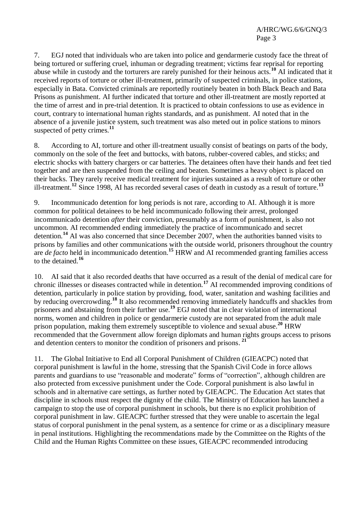7. EGJ noted that individuals who are taken into police and gendarmerie custody face the threat of being tortured or suffering cruel, inhuman or degrading treatment; victims fear reprisal for reporting abuse while in custody and the torturers are rarely punished for their heinous acts.**<sup>10</sup>** AI indicated that it received reports of torture or other ill-treatment, primarily of suspected criminals, in police stations, especially in Bata. Convicted criminals are reportedly routinely beaten in both Black Beach and Bata Prisons as punishment. AI further indicated that torture and other ill-treatment are mostly reported at the time of arrest and in pre-trial detention. It is practiced to obtain confessions to use as evidence in court, contrary to international human rights standards, and as punishment. AI noted that in the absence of a juvenile justice system, such treatment was also meted out in police stations to minors suspected of petty crimes.**<sup>11</sup>**

8. According to AI, torture and other ill-treatment usually consist of beatings on parts of the body, commonly on the sole of the feet and buttocks, with batons, rubber-covered cables, and sticks; and electric shocks with battery chargers or car batteries. The detainees often have their hands and feet tied together and are then suspended from the ceiling and beaten. Sometimes a heavy object is placed on their backs. They rarely receive medical treatment for injuries sustained as a result of torture or other ill-treatment.**<sup>12</sup>** Since 1998, AI has recorded several cases of death in custody as a result of torture.**<sup>13</sup>**

9. Incommunicado detention for long periods is not rare, according to AI. Although it is more common for political detainees to be held incommunicado following their arrest, prolonged incommunicado detention *after* their conviction, presumably as a form of punishment, is also not uncommon. AI recommended ending immediately the practice of incommunicado and secret detention.**<sup>14</sup>** AI was also concerned that since December 2007, when the authorities banned visits to prisons by families and other communications with the outside world, prisoners throughout the country are *de facto* held in incommunicado detention.<sup>15</sup> HRW and AI recommended granting families access to the detained.**<sup>16</sup>**

10. AI said that it also recorded deaths that have occurred as a result of the denial of medical care for chronic illnesses or diseases contracted while in detention.**<sup>17</sup>** AI recommended improving conditions of detention, particularly in police station by providing, food, water, sanitation and washing facilities and by reducing overcrowding.**<sup>18</sup>** It also recommended removing immediately handcuffs and shackles from prisoners and abstaining from their further use.**<sup>19</sup>** EGJ noted that in clear violation of international norms, women and children in police or gendarmerie custody are not separated from the adult male prison population, making them extremely susceptible to violence and sexual abuse.**<sup>20</sup>** HRW recommended that the Government allow foreign diplomats and human rights groups access to prisons and detention centers to monitor the condition of prisoners and prisons. **21**

11. The Global Initiative to End all Corporal Punishment of Children (GIEACPC) noted that corporal punishment is lawful in the home, stressing that the Spanish Civil Code in force allows parents and guardians to use "reasonable and moderate" forms of "correction", although children are also protected from excessive punishment under the Code. Corporal punishment is also lawful in schools and in alternative care settings, as further noted by GIEACPC. The Education Act states that discipline in schools must respect the dignity of the child. The Ministry of Education has launched a campaign to stop the use of corporal punishment in schools, but there is no explicit prohibition of corporal punishment in law. GIEACPC further stressed that they were unable to ascertain the legal status of corporal punishment in the penal system, as a sentence for crime or as a disciplinary measure in penal institutions. Highlighting the recommendations made by the Committee on the Rights of the Child and the Human Rights Committee on these issues, GIEACPC recommended introducing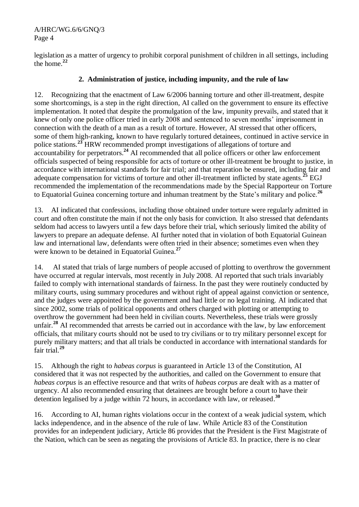legislation as a matter of urgency to prohibit corporal punishment of children in all settings, including the home.**<sup>22</sup>**

# **2. Administration of justice, including impunity, and the rule of law**

12. Recognizing that the enactment of Law 6/2006 banning torture and other ill-treatment, despite some shortcomings, is a step in the right direction, AI called on the government to ensure its effective implementation. It noted that despite the promulgation of the law, impunity prevails, and stated that it knew of only one police officer tried in early 2008 and sentenced to seven months' imprisonment in connection with the death of a man as a result of torture. However, AI stressed that other officers, some of them high-ranking, known to have regularly tortured detainees, continued in active service in police stations.**<sup>23</sup>** HRW recommended prompt investigations of allegations of torture and accountability for perpetrators.**<sup>24</sup>** AI recommended that all police officers or other law enforcement officials suspected of being responsible for acts of torture or other ill-treatment be brought to justice, in accordance with international standards for fair trial; and that reparation be ensured, including fair and adequate compensation for victims of torture and other ill-treatment inflicted by state agents. **<sup>25</sup>** EGJ recommended the implementation of the recommendations made by the Special Rapporteur on Torture to Equatorial Guinea concerning torture and inhuman treatment by the State's military and police.**<sup>26</sup>**

13. AI indicated that confessions, including those obtained under torture were regularly admitted in court and often constitute the main if not the only basis for conviction. It also stressed that defendants seldom had access to lawyers until a few days before their trial, which seriously limited the ability of lawyers to prepare an adequate defense. AI further noted that in violation of both Equatorial Guinean law and international law, defendants were often tried in their absence; sometimes even when they were known to be detained in Equatorial Guinea.**<sup>27</sup>**

14. AI stated that trials of large numbers of people accused of plotting to overthrow the government have occurred at regular intervals, most recently in July 2008. AI reported that such trials invariably failed to comply with international standards of fairness. In the past they were routinely conducted by military courts, using summary procedures and without right of appeal against conviction or sentence, and the judges were appointed by the government and had little or no legal training. AI indicated that since 2002, some trials of political opponents and others charged with plotting or attempting to overthrow the government had been held in civilian courts. Nevertheless, these trials were grossly unfair.**<sup>28</sup>** AI recommended that arrests be carried out in accordance with the law, by law enforcement officials, that military courts should not be used to try civilians or to try military personnel except for purely military matters; and that all trials be conducted in accordance with international standards for fair trial. **29**

15. Although the right to *habeas corpus* is guaranteed in Article 13 of the Constitution, AI considered that it was not respected by the authorities, and called on the Government to ensure that *habeas corpus* is an effective resource and that writs of *habeas corpus* are dealt with as a matter of urgency. AI also recommended ensuring that detainees are brought before a court to have their detention legalised by a judge within 72 hours, in accordance with law, or released. **30**

16. According to AI, human rights violations occur in the context of a weak judicial system, which lacks independence, and in the absence of the rule of law. While Article 83 of the Constitution provides for an independent judiciary, Article 86 provides that the President is the First Magistrate of the Nation, which can be seen as negating the provisions of Article 83. In practice, there is no clear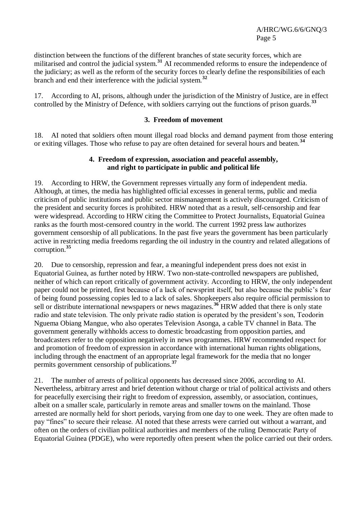distinction between the functions of the different branches of state security forces, which are militarised and control the judicial system.**<sup>31</sup>** AI recommended reforms to ensure the independence of the judiciary; as well as the reform of the security forces to clearly define the responsibilities of each branch and end their interference with the judicial system.**<sup>32</sup>**

17. According to AI, prisons, although under the jurisdiction of the Ministry of Justice, are in effect controlled by the Ministry of Defence, with soldiers carrying out the functions of prison guards.**<sup>33</sup>**

#### **3. Freedom of movement**

18. AI noted that soldiers often mount illegal road blocks and demand payment from those entering or exiting villages. Those who refuse to pay are often detained for several hours and beaten.**<sup>34</sup>**

#### **4. Freedom of expression, association and peaceful assembly, and right to participate in public and political life**

19. According to HRW, the Government represses virtually any form of independent media. Although, at times, the media has highlighted official excesses in general terms, public and media criticism of public institutions and public sector mismanagement is actively discouraged. Criticism of the president and security forces is prohibited. HRW noted that as a result, self-censorship and fear were widespread. According to HRW citing the Committee to Protect Journalists, Equatorial Guinea ranks as the fourth most-censored country in the world. The current 1992 press law authorizes government censorship of all publications. In the past five years the government has been particularly active in restricting media freedoms regarding the oil industry in the country and related allegations of corruption. **35**

20. Due to censorship, repression and fear, a meaningful independent press does not exist in Equatorial Guinea, as further noted by HRW. Two non-state-controlled newspapers are published, neither of which can report critically of government activity. According to HRW, the only independent paper could not be printed, first because of a lack of newsprint itself, but also because the public's fear of being found possessing copies led to a lack of sales. Shopkeepers also require official permission to sell or distribute international newspapers or news magazines.**<sup>36</sup>** HRW added that there is only state radio and state television. The only private radio station is operated by the president's son, Teodorin Nguema Obiang Mangue, who also operates Television Asonga, a cable TV channel in Bata. The government generally withholds access to domestic broadcasting from opposition parties, and broadcasters refer to the opposition negatively in news programmes. HRW recommended respect for and promotion of freedom of expression in accordance with international human rights obligations, including through the enactment of an appropriate legal framework for the media that no longer permits government censorship of publications.**<sup>37</sup>**

21. The number of arrests of political opponents has decreased since 2006, according to AI. Nevertheless, arbitrary arrest and brief detention without charge or trial of political activists and others for peacefully exercising their right to freedom of expression, assembly, or association, continues, albeit on a smaller scale, particularly in remote areas and smaller towns on the mainland. Those arrested are normally held for short periods, varying from one day to one week. They are often made to pay "fines" to secure their release. AI noted that these arrests were carried out without a warrant, and often on the orders of civilian political authorities and members of the ruling Democratic Party of Equatorial Guinea (PDGE), who were reportedly often present when the police carried out their orders.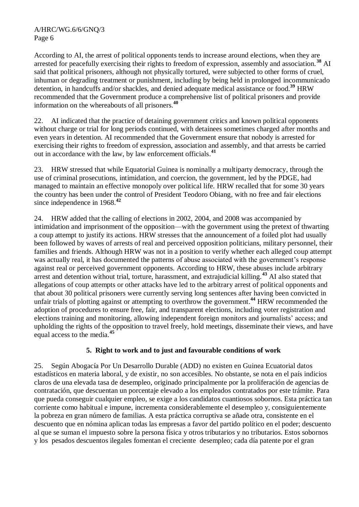According to AI, the arrest of political opponents tends to increase around elections, when they are arrested for peacefully exercising their rights to freedom of expression, assembly and association.**<sup>38</sup>** AI said that political prisoners, although not physically tortured, were subjected to other forms of cruel, inhuman or degrading treatment or punishment, including by being held in prolonged incommunicado detention, in handcuffs and/or shackles, and denied adequate medical assistance or food.**<sup>39</sup>** HRW recommended that the Government produce a comprehensive list of political prisoners and provide information on the whereabouts of all prisoners. **40**

22. AI indicated that the practice of detaining government critics and known political opponents without charge or trial for long periods continued, with detainees sometimes charged after months and even years in detention. AI recommended that the Government ensure that nobody is arrested for exercising their rights to freedom of expression, association and assembly, and that arrests be carried out in accordance with the law, by law enforcement officials. **41**

23. HRW stressed that while Equatorial Guinea is nominally a multiparty democracy, through the use of criminal prosecutions, intimidation, and coercion, the government, led by the PDGE, had managed to maintain an effective monopoly over political life. HRW recalled that for some 30 years the country has been under the control of President Teodoro Obiang, with no free and fair elections since independence in 1968.**<sup>42</sup>**

24. HRW added that the calling of elections in 2002, 2004, and 2008 was accompanied by intimidation and imprisonment of the opposition—with the government using the pretext of thwarting a coup attempt to justify its actions. HRW stresses that the announcement of a foiled plot had usually been followed by waves of arrests of real and perceived opposition politicians, military personnel, their families and friends. Although HRW was not in a position to verify whether each alleged coup attempt was actually real, it has documented the patterns of abuse associated with the government's response against real or perceived government opponents. According to HRW, these abuses include arbitrary arrest and detention without trial, torture, harassment, and extrajudicial killing.**<sup>43</sup>** AI also stated that allegations of coup attempts or other attacks have led to the arbitrary arrest of political opponents and that about 30 political prisoners were currently serving long sentences after having been convicted in unfair trials of plotting against or attempting to overthrow the government. **<sup>44</sup>** HRW recommended the adoption of procedures to ensure free, fair, and transparent elections, including voter registration and elections training and monitoring, allowing independent foreign monitors and journalists' access; and upholding the rights of the opposition to travel freely, hold meetings, disseminate their views, and have equal access to the media.**<sup>45</sup>**

# **5. Right to work and to just and favourable conditions of work**

25. Según Abogacía Por Un Desarrollo Durable (ADD) no existen en Guinea Ecuatorial datos estadísticos en materia laboral, y de existir, no son accesibles. No obstante, se nota en el país indicios claros de una elevada tasa de desempleo, originado principalmente por la proliferación de agencias de contratación, que descuentan un porcentaje elevado a los empleados contratados por este trámite. Para que pueda conseguir cualquier empleo, se exige a los candidatos cuantiosos sobornos. Esta práctica tan corriente como habitual e impune, incrementa considerablemente el desempleo y, consiguientemente la pobreza en gran número de familias. A esta práctica corruptiva se añade otra, consistente en el descuento que en nómina aplican todas las empresas a favor del partido político en el poder; descuento al que se suman el impuesto sobre la persona física y otros tributarios y no tributarios. Estos sobornos y los pesados descuentos ilegales fomentan el creciente desempleo; cada día patente por el gran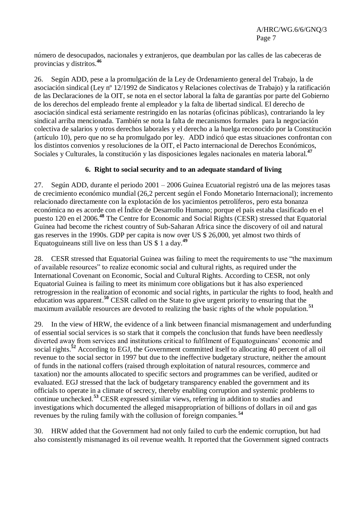número de desocupados, nacionales y extranjeros, que deambulan por las calles de las cabeceras de provincias y distritos.**<sup>46</sup>**

26. Según ADD, pese a la promulgación de la Ley de Ordenamiento general del Trabajo, la de asociación sindical (Ley nº 12/1992 de Sindicatos y Relaciones colectivas de Trabajo) y la ratificación de las Declaraciones de la OIT, se nota en el sector laboral la falta de garantías por parte del Gobierno de los derechos del empleado frente al empleador y la falta de libertad sindical. El derecho de asociación sindical está seriamente restringido en las notarías (oficinas públicas), contrariando la ley sindical arriba mencionada. También se nota la falta de mecanismos formales para la negociación colectiva de salarios y otros derechos laborales y el derecho a la huelga reconocido por la Constitución (artículo 10), pero que no se ha promulgado por ley. ADD indicó que estas situaciones confrontan con los distintos convenios y resoluciones de la OIT, el Pacto internacional de Derechos Económicos, Sociales y Culturales, la constitución y las disposiciones legales nacionales en materia laboral.**<sup>47</sup>**

# **6. Right to social security and to an adequate standard of living**

27. Según ADD, durante el periodo 2001 – 2006 Guinea Ecuatorial registró una de las mejores tasas de crecimiento económico mundial (26,2 percent según el Fondo Monetario Internacional); incremento relacionado directamente con la explotación de los yacimientos petrolíferos, pero esta bonanza económica no es acorde con el Índice de Desarrollo Humano; porque el país estaba clasificado en el puesto 120 en el 2006.**<sup>48</sup>** The Centre for Economic and Social Rights (CESR) stressed that Equatorial Guinea had become the richest country of Sub-Saharan Africa since the discovery of oil and natural gas reserves in the 1990s. GDP per capita is now over US \$ 26,000, yet almost two thirds of Equatoguineans still live on less than US \$ 1 a day.**<sup>49</sup>**

28. CESR stressed that Equatorial Guinea was failing to meet the requirements to use "the maximum of available resources‖ to realize economic social and cultural rights, as required under the International Covenant on Economic, Social and Cultural Rights. According to CESR, not only Equatorial Guinea is failing to meet its minimum core obligations but it has also experienced retrogression in the realization of economic and social rights, in particular the rights to food, health and education was apparent. **<sup>50</sup>** CESR called on the State to give urgent priority to ensuring that the maximum available resources are devoted to realizing the basic rights of the whole population.<sup>51</sup>

29. In the view of HRW, the evidence of a link between financial mismanagement and underfunding of essential social services is so stark that it compels the conclusion that funds have been needlessly diverted away from services and institutions critical to fulfilment of Equatoguineans' economic and social rights.<sup>52</sup> According to EGJ, the Government committed itself to allocating 40 percent of all oil revenue to the social sector in 1997 but due to the ineffective budgetary structure, neither the amount of funds in the national coffers (raised through exploitation of natural resources, commerce and taxation) nor the amounts allocated to specific sectors and programmes can be verified, audited or evaluated. EGJ stressed that the lack of budgetary transparency enabled the government and its officials to operate in a climate of secrecy, thereby enabling corruption and systemic problems to continue unchecked.**<sup>53</sup>** CESR expressed similar views, referring in addition to studies and investigations which documented the alleged misappropriation of billions of dollars in oil and gas revenues by the ruling family with the collusion of foreign companies.**<sup>54</sup>**

30. HRW added that the Government had not only failed to curb the endemic corruption, but had also consistently mismanaged its oil revenue wealth. It reported that the Government signed contracts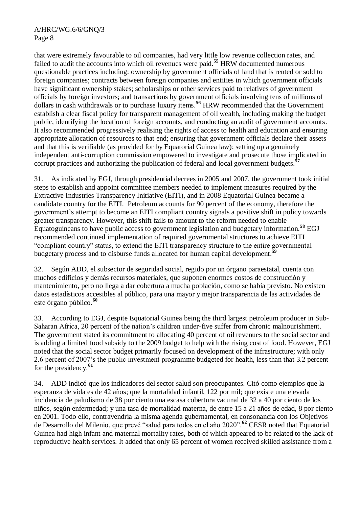that were extremely favourable to oil companies, had very little low revenue collection rates, and failed to audit the accounts into which oil revenues were paid.**<sup>55</sup>** HRW documented numerous questionable practices including: ownership by government officials of land that is rented or sold to foreign companies; contracts between foreign companies and entities in which government officials have significant ownership stakes; scholarships or other services paid to relatives of government officials by foreign investors; and transactions by government officials involving tens of millions of dollars in cash withdrawals or to purchase luxury items. **<sup>56</sup>** HRW recommended that the Government establish a clear fiscal policy for transparent management of oil wealth, including making the budget public, identifying the location of foreign accounts, and conducting an audit of government accounts. It also recommended progressively realising the rights of access to health and education and ensuring appropriate allocation of resources to that end; ensuring that government officials declare their assets and that this is verifiable (as provided for by Equatorial Guinea law); setting up a genuinely independent anti-corruption commission empowered to investigate and prosecute those implicated in corrupt practices and authorizing the publication of federal and local government budgets.**<sup>57</sup>**

31. As indicated by EGJ, through presidential decrees in 2005 and 2007, the government took initial steps to establish and appoint committee members needed to implement measures required by the Extractive Industries Transparency Initiative (EITI), and in 2008 Equatorial Guinea became a candidate country for the EITI. Petroleum accounts for 90 percent of the economy, therefore the government's attempt to become an EITI compliant country signals a positive shift in policy towards greater transparency. However, this shift fails to amount to the reform needed to enable Equatoguineans to have public access to government legislation and budgetary information.**<sup>58</sup>** EGJ recommended continued implementation of required governmental structures to achieve EITI "compliant country" status, to extend the EITI transparency structure to the entire governmental budgetary process and to disburse funds allocated for human capital development. **59**

32. Según ADD, el subsector de seguridad social, regido por un órgano paraestatal, cuenta con muchos edificios y demás recursos materiales, que suponen enormes costos de construcción y mantenimiento, pero no llega a dar cobertura a mucha población, como se había previsto. No existen datos estadísticos accesibles al público, para una mayor y mejor transparencia de las actividades de este órgano público. **60**

33. According to EGJ, despite Equatorial Guinea being the third largest petroleum producer in Sub-Saharan Africa, 20 percent of the nation's children under-five suffer from chronic malnourishment. The government stated its commitment to allocating 40 percent of oil revenues to the social sector and is adding a limited food subsidy to the 2009 budget to help with the rising cost of food. However, EGJ noted that the social sector budget primarily focused on development of the infrastructure; with only 2.6 percent of 2007's the public investment programme budgeted for health, less than that 3.2 percent for the presidency.**<sup>61</sup>**

34. ADD indicó que los indicadores del sector salud son preocupantes. Citó como ejemplos que la esperanza de vida es de 42 años; que la mortalidad infantil, 122 por mil; que existe una elevada incidencia de paludismo de 38 por ciento una escasa cobertura vacunal de 32 a 40 por ciento de los niños, según enfermedad; y una tasa de mortalidad materna, de entre 15 a 21 años de edad, 8 por ciento en 2001. Todo ello, contravendría la misma agenda gubernamental, en consonancia con los Objetivos de Desarrollo del Milenio, que prevé "salud para todos en el año 2020".<sup>62</sup> CESR noted that Equatorial Guinea had high infant and maternal mortality rates, both of which appeared to be related to the lack of reproductive health services. It added that only 65 percent of women received skilled assistance from a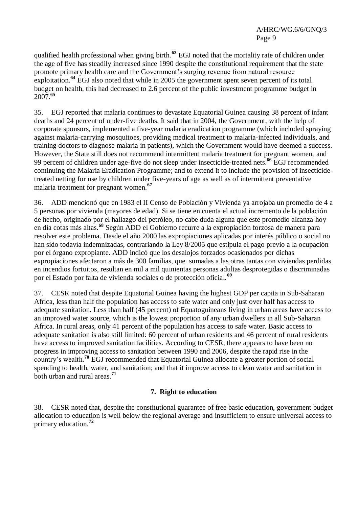qualified health professional when giving birth.**<sup>63</sup>** EGJ noted that the mortality rate of children under the age of five has steadily increased since 1990 despite the constitutional requirement that the state promote primary health care and the Government's surging revenue from natural resource exploitation.**<sup>64</sup>** EGJ also noted that while in 2005 the government spent seven percent of its total budget on health, this had decreased to 2.6 percent of the public investment programme budget in 2007.**<sup>65</sup>**

35. EGJ reported that malaria continues to devastate Equatorial Guinea causing 38 percent of infant deaths and 24 percent of under-five deaths. It said that in 2004, the Government, with the help of corporate sponsors, implemented a five-year malaria eradication programme (which included spraying against malaria-carrying mosquitoes, providing medical treatment to malaria-infected individuals, and training doctors to diagnose malaria in patients), which the Government would have deemed a success. However, the State still does not recommend intermittent malaria treatment for pregnant women, and 99 percent of children under age-five do not sleep under insecticide-treated nets. **<sup>66</sup>** EGJ recommended continuing the Malaria Eradication Programme; and to extend it to include the provision of insecticidetreated netting for use by children under five-years of age as well as of intermittent preventative malaria treatment for pregnant women.**<sup>67</sup>**

36. ADD mencionó que en 1983 el II Censo de Población y Vivienda ya arrojaba un promedio de 4 a 5 personas por vivienda (mayores de edad). Si se tiene en cuenta el actual incremento de la población de hecho, originado por el hallazgo del petróleo, no cabe duda alguna que este promedio alcanza hoy en día cotas más altas.**<sup>68</sup>** Según ADD el Gobierno recurre a la expropiación forzosa de manera para resolver este problema. Desde el año 2000 las expropiaciones aplicadas por interés público o social no han sido todavía indemnizadas, contrariando la Ley 8/2005 que estipula el pago previo a la ocupación por el órgano expropiante. ADD indicó que los desalojos forzados ocasionados por dichas expropiaciones afectaron a más de 300 familias, que sumadas a las otras tantas con viviendas perdidas en incendios fortuitos, resultan en mil a mil quinientas personas adultas desprotegidas o discriminadas por el Estado por falta de vivienda sociales o de protección oficial.**<sup>69</sup>**

37. CESR noted that despite Equatorial Guinea having the highest GDP per capita in Sub-Saharan Africa, less than half the population has access to safe water and only just over half has access to adequate sanitation. Less than half (45 percent) of Equatoguineans living in urban areas have access to an improved water source, which is the lowest proportion of any urban dwellers in all Sub-Saharan Africa. In rural areas, only 41 percent of the population has access to safe water. Basic access to adequate sanitation is also still limited: 60 percent of urban residents and 46 percent of rural residents have access to improved sanitation facilities. According to CESR, there appears to have been no progress in improving access to sanitation between 1990 and 2006, despite the rapid rise in the country's wealth.**<sup>70</sup>** EGJ recommended that Equatorial Guinea allocate a greater portion of social spending to health, water, and sanitation; and that it improve access to clean water and sanitation in both urban and rural areas.**<sup>71</sup>**

# **7. Right to education**

38. CESR noted that, despite the constitutional guarantee of free basic education, government budget allocation to education is well below the regional average and insufficient to ensure universal access to primary education.**<sup>72</sup>**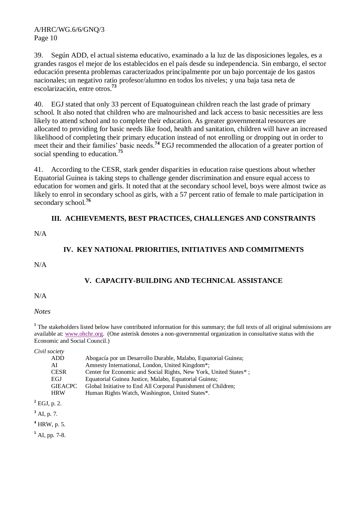39. Según ADD, el actual sistema educativo, examinado a la luz de las disposiciones legales, es a grandes rasgos el mejor de los establecidos en el país desde su independencia. Sin embargo, el sector educación presenta problemas caracterizados principalmente por un bajo porcentaje de los gastos nacionales; un negativo ratio profesor/alumno en todos los niveles; y una baja tasa neta de escolarización, entre otros. **73**

40. EGJ stated that only 33 percent of Equatoguinean children reach the last grade of primary school. It also noted that children who are malnourished and lack access to basic necessities are less likely to attend school and to complete their education. As greater governmental resources are allocated to providing for basic needs like food, health and sanitation, children will have an increased likelihood of completing their primary education instead of not enrolling or dropping out in order to meet their and their families' basic needs.<sup>74</sup> EGJ recommended the allocation of a greater portion of social spending to education.**<sup>75</sup>**

41. According to the CESR, stark gender disparities in education raise questions about whether Equatorial Guinea is taking steps to challenge gender discrimination and ensure equal access to education for women and girls. It noted that at the secondary school level, boys were almost twice as likely to enrol in secondary school as girls, with a 57 percent ratio of female to male participation in secondary school.**<sup>76</sup>**

# **III. ACHIEVEMENTS, BEST PRACTICES, CHALLENGES AND CONSTRAINTS**

N/A

# **IV. KEY NATIONAL PRIORITIES, INITIATIVES AND COMMITMENTS**

N/A

# **V. CAPACITY-BUILDING AND TECHNICAL ASSISTANCE**

 $N/A$ 

*Notes*

**<sup>1</sup>** The stakeholders listed below have contributed information for this summary; the full texts of all original submissions are available at: [www.ohchr.org.](http://www.ohchr.org/) (One asterisk denotes a non-governmental organization in consultative status with the Economic and Social Council.)

*Civil society*

|    | <b>ADD</b>     | Abogacía por un Desarrollo Durable, Malabo, Equatorial Guinea;   |
|----|----------------|------------------------------------------------------------------|
| AI |                | Amnesty International, London, United Kingdom*;                  |
|    | <b>CESR</b>    | Center for Economic and Social Rights, New York, United States*; |
|    | EGJ            | Equatorial Guinea Justice, Malabo, Equatorial Guinea;            |
|    | <b>GIEACPC</b> | Global Initiative to End All Corporal Punishment of Children;    |
|    | <b>HRW</b>     | Human Rights Watch, Washington, United States*.                  |

**<sup>2</sup>** EGJ, p. 2.

**<sup>3</sup>** AI, p. 7.

**<sup>4</sup>** HRW, p. 5.

**<sup>5</sup>** AI, pp. 7-8.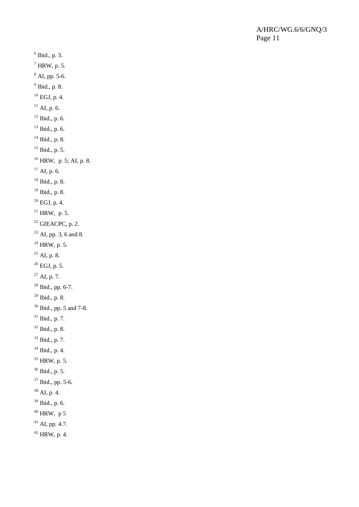Ibid., p. 3.  $^7$  HRW, p. 5.  $^8$  AI, pp. 5-6. Ibid., p. 8. EGJ, p. 4. AI, p. 6. Ibid., p. 6. Ibid., p. 6. Ibid., p. 8. Ibid., p. 5. HRW, p. 5; AI, p. 8. AI, p. 6. Ibid., p. 8. Ibid., p. 8. EGJ, p. 4.  $^{21}$  HRW, p. 5. GIEACPC, p. 2. AI, pp. 3, 6 and 8. HRW, p. 5.  $^{25}$  AI, p. 8.  $^{26}$  EGJ, p. 5.  $^{27}$  AI, p. 7. Ibid., pp. 6-7. Ibid., p. 8. <sup>30</sup> Ibid., pp. 5 and 7-8. Ibid., p. 7. Ibid., p. 8. Ibid., p. 7. Ibid., p. 4. HRW, p. 5. Ibid., p. 5. Ibid., pp. 5-6. AI, p. 4. Ibid., p. 6. HRW, p 5 AI, pp. 4.7. HRW, p. 4.